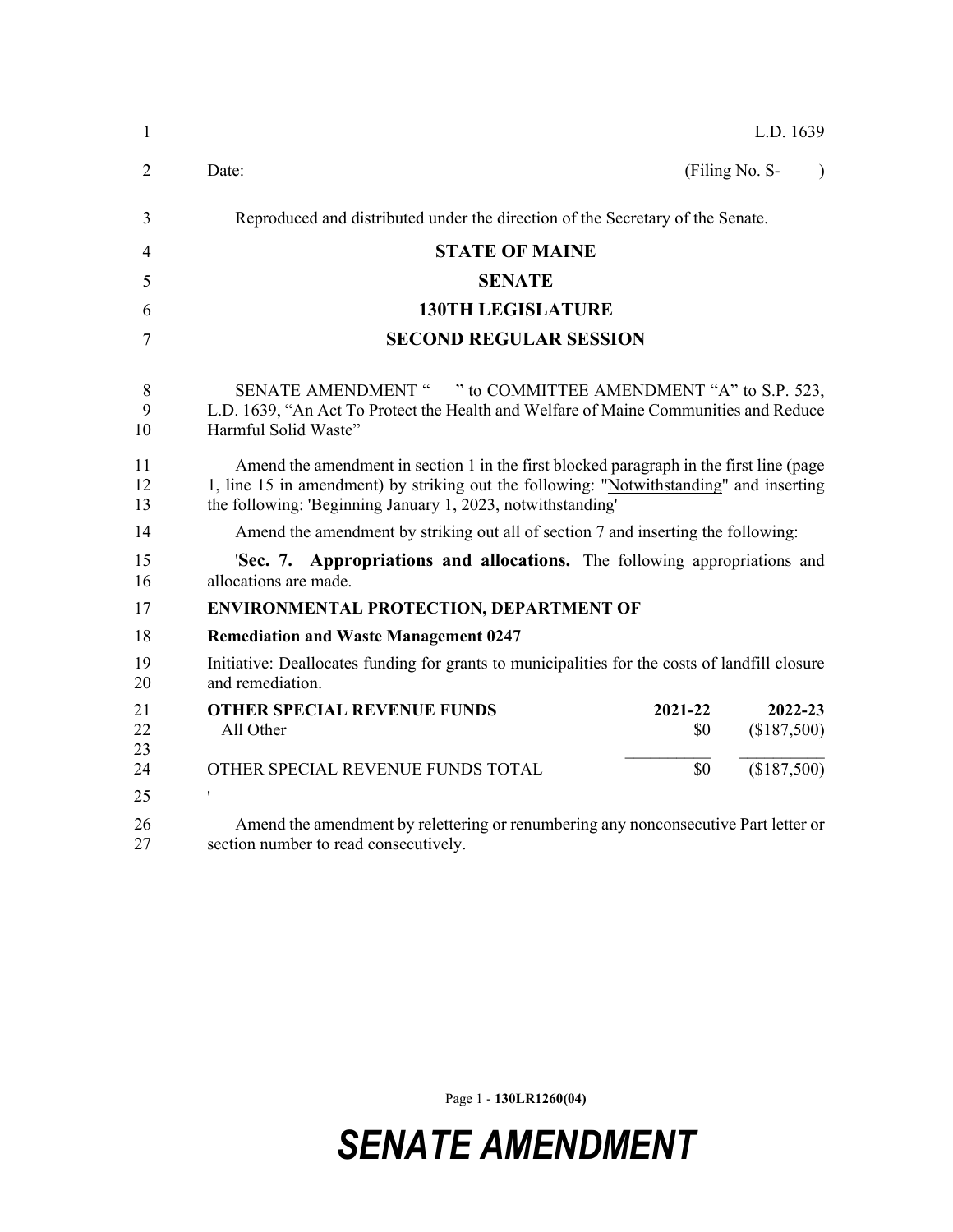| $\mathbf{1}$   | L.D. 1639                                                                                                                                                                                                                                         |
|----------------|---------------------------------------------------------------------------------------------------------------------------------------------------------------------------------------------------------------------------------------------------|
| $\overline{2}$ | Date:<br>(Filing No. S-<br>$\lambda$                                                                                                                                                                                                              |
| 3              | Reproduced and distributed under the direction of the Secretary of the Senate.                                                                                                                                                                    |
| 4              | <b>STATE OF MAINE</b>                                                                                                                                                                                                                             |
| 5              | <b>SENATE</b>                                                                                                                                                                                                                                     |
| 6              | <b>130TH LEGISLATURE</b>                                                                                                                                                                                                                          |
| 7              | <b>SECOND REGULAR SESSION</b>                                                                                                                                                                                                                     |
| 8<br>9<br>10   | SENATE AMENDMENT " " to COMMITTEE AMENDMENT "A" to S.P. 523,<br>L.D. 1639, "An Act To Protect the Health and Welfare of Maine Communities and Reduce<br>Harmful Solid Waste"                                                                      |
| 11<br>12<br>13 | Amend the amendment in section 1 in the first blocked paragraph in the first line (page<br>1, line 15 in amendment) by striking out the following: "Notwithstanding" and inserting<br>the following: 'Beginning January 1, 2023, notwithstanding' |
| 14             | Amend the amendment by striking out all of section 7 and inserting the following:                                                                                                                                                                 |
| 15<br>16       | 'Sec. 7. Appropriations and allocations. The following appropriations and<br>allocations are made.                                                                                                                                                |
| 17             | <b>ENVIRONMENTAL PROTECTION, DEPARTMENT OF</b>                                                                                                                                                                                                    |
| 18             | <b>Remediation and Waste Management 0247</b>                                                                                                                                                                                                      |
| 19<br>20       | Initiative: Deallocates funding for grants to municipalities for the costs of landfill closure<br>and remediation.                                                                                                                                |
| 21<br>22<br>23 | <b>OTHER SPECIAL REVENUE FUNDS</b><br>2021-22<br>2022-23<br>(\$187,500)<br>All Other<br>\$0                                                                                                                                                       |
| 24             | \$0<br>(\$187,500)<br>OTHER SPECIAL REVENUE FUNDS TOTAL                                                                                                                                                                                           |
| 25             | ,                                                                                                                                                                                                                                                 |
| 26<br>27       | Amend the amendment by relettering or renumbering any nonconsecutive Part letter or<br>section number to read consecutively.                                                                                                                      |

Page 1 - **130LR1260(04)**

*SENATE AMENDMENT*